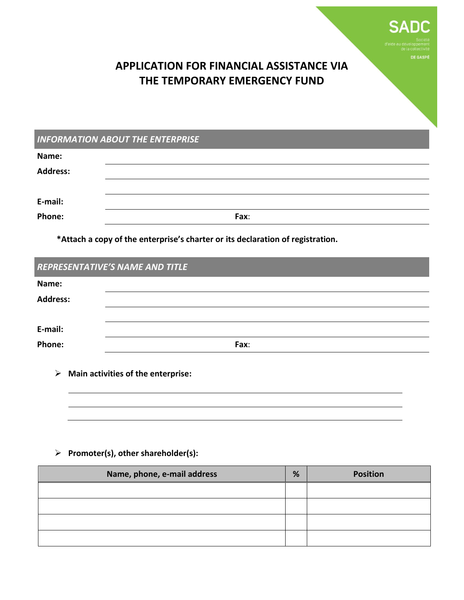

**DE GASPÉ** 

# **APPLICATION FOR FINANCIAL ASSISTANCE VIA THE TEMPORARY EMERGENCY FUND**

|                 | <b>INFORMATION ABOUT THE ENTERPRISE</b> |
|-----------------|-----------------------------------------|
| Name:           |                                         |
| <b>Address:</b> |                                         |
|                 |                                         |
| E-mail:         |                                         |
| <b>Phone:</b>   | Fax:                                    |

**\*Attach a copy of the enterprise's charter or its declaration of registration.**

|                 | <b>REPRESENTATIVE'S NAME AND TITLE</b> |
|-----------------|----------------------------------------|
| Name:           |                                        |
| <b>Address:</b> |                                        |
|                 |                                        |
| E-mail:         |                                        |
| Phone:          | Fax:                                   |
|                 |                                        |

**Main activities of the enterprise:**

## **Promoter(s), other shareholder(s):**

| Name, phone, e-mail address | % | <b>Position</b> |
|-----------------------------|---|-----------------|
|                             |   |                 |
|                             |   |                 |
|                             |   |                 |
|                             |   |                 |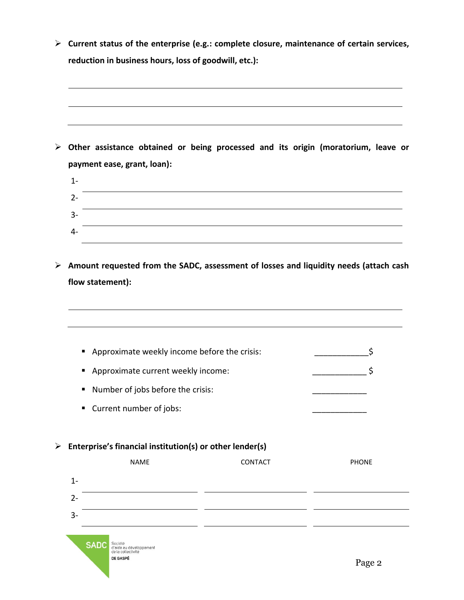**Current status of the enterprise (e.g.: complete closure, maintenance of certain services, reduction in business hours, loss of goodwill, etc.):**

 **Other assistance obtained or being processed and its origin (moratorium, leave or payment ease, grant, loan):**

| $1 -$   |  |
|---------|--|
| ີ<br>z- |  |
| $3-$    |  |
| 4-      |  |

 **Amount requested from the SADC, assessment of losses and liquidity needs (attach cash flow statement):**

| ٠                                                                       |                                   | Approximate weekly income before the crisis: | ς            |
|-------------------------------------------------------------------------|-----------------------------------|----------------------------------------------|--------------|
| Approximate current weekly income:<br>п                                 | Ś                                 |                                              |              |
| п                                                                       | Number of jobs before the crisis: |                                              |              |
| Current number of jobs:<br>٠                                            |                                   |                                              |              |
| Enterprise's financial institution(s) or other lender(s)<br><b>NAME</b> |                                   | <b>CONTACT</b>                               | <b>PHONE</b> |
| $1 -$                                                                   |                                   |                                              |              |
| $2 -$                                                                   |                                   |                                              |              |
| $3-$                                                                    |                                   |                                              |              |